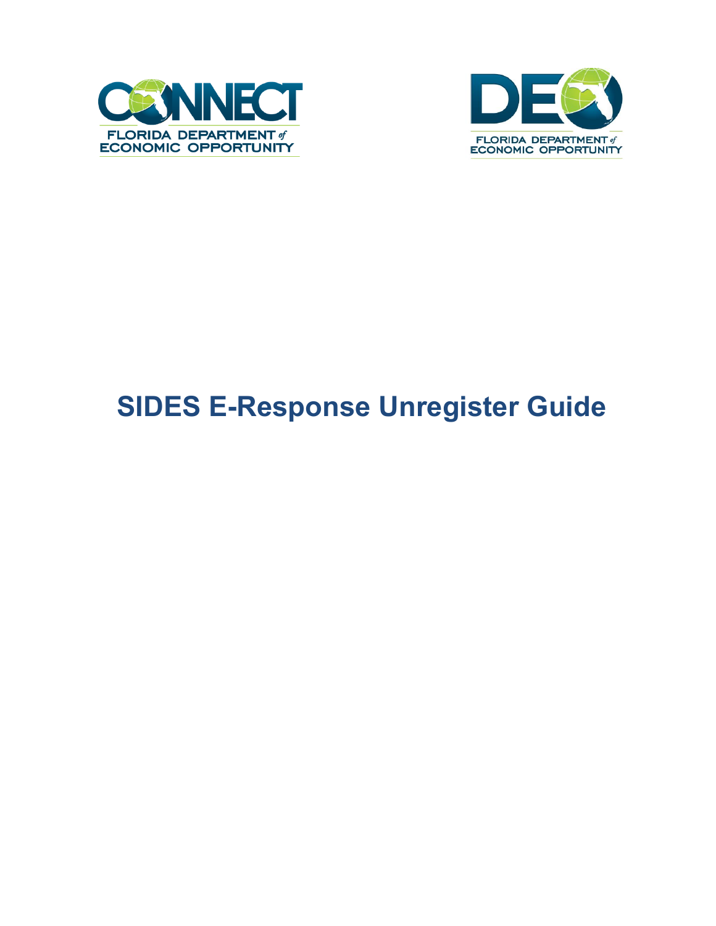



## **SIDES E-Response Unregister Guide**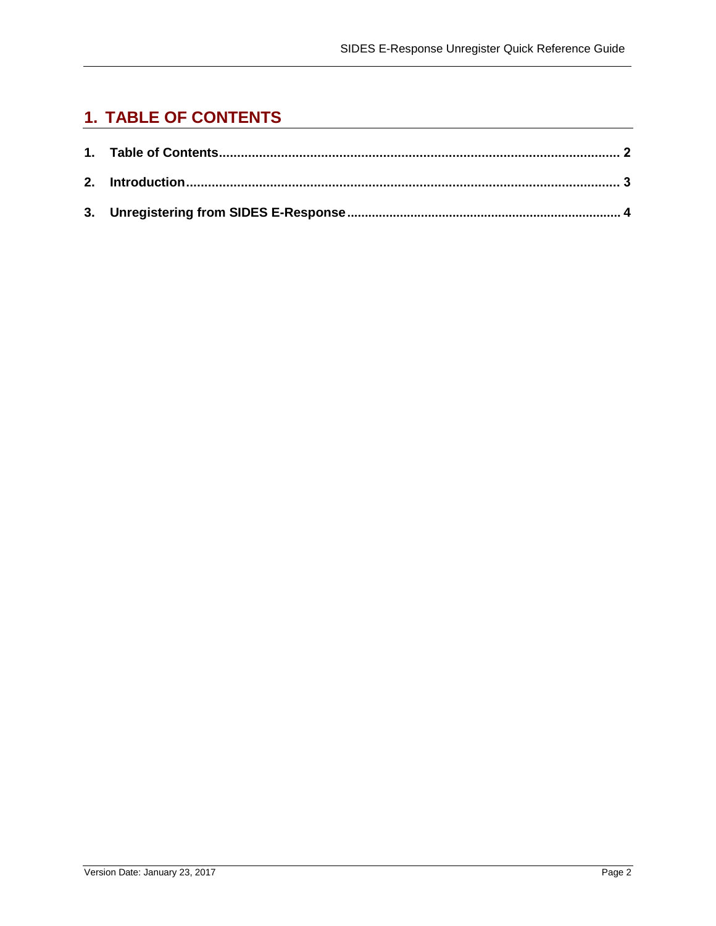## <span id="page-1-0"></span>**1. TABLE OF CONTENTS**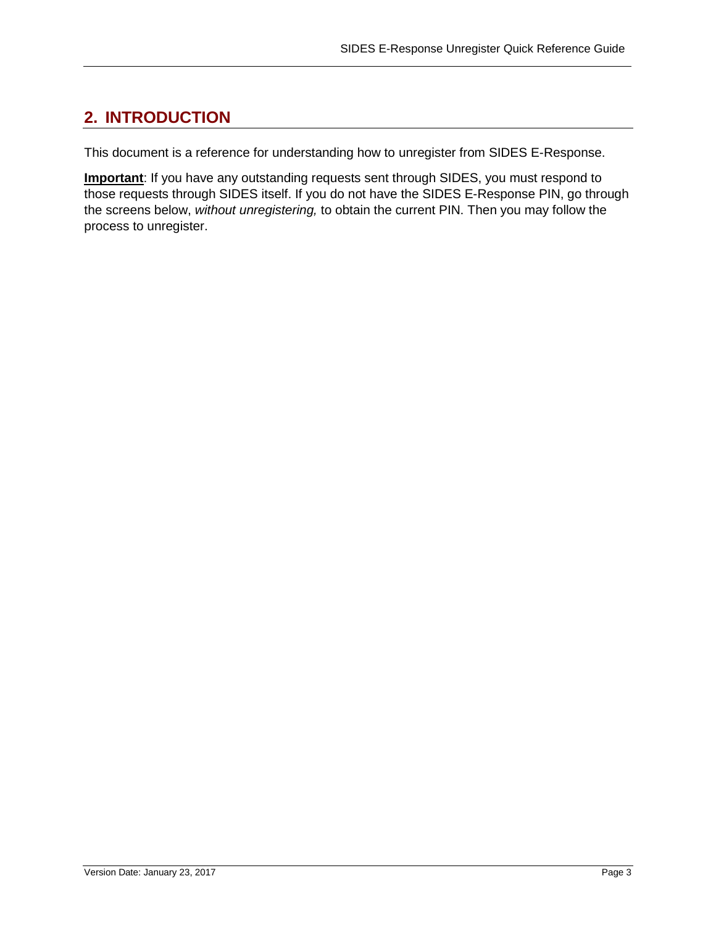## **2. INTRODUCTION**

This document is a reference for understanding how to unregister from SIDES E-Response.

**Important**: If you have any outstanding requests sent through SIDES, you must respond to those requests through SIDES itself. If you do not have the SIDES E-Response PIN, go through the screens below, *without unregistering,* to obtain the current PIN. Then you may follow the process to unregister.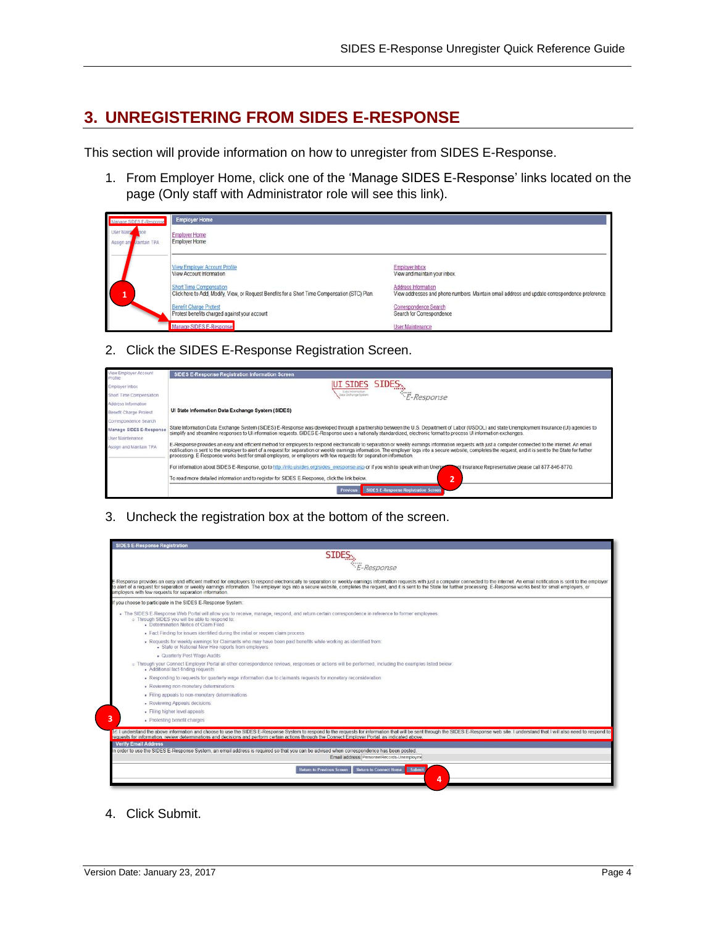## **3. UNREGISTERING FROM SIDES E-RESPONSE**

This section will provide information on how to unregister from SIDES E-Response.

1. From Employer Home, click one of the 'Manage SIDES E-Response' links located on the page (Only staff with Administrator role will see this link).

| Manage SIDES E-Response                         | <b>Employer Home</b>                                                                                                             |                                                                                                                       |
|-------------------------------------------------|----------------------------------------------------------------------------------------------------------------------------------|-----------------------------------------------------------------------------------------------------------------------|
| <b>User Mains</b><br>Aaintain TPA<br>Assign and | <b>Employer Home</b><br><b>Employer Home</b>                                                                                     |                                                                                                                       |
|                                                 | View Employer Account Profile<br>View Account Information                                                                        | Employer Inbox<br>View and maintain your inbox.                                                                       |
|                                                 | <b>Short Time Compensation</b><br>Click here to Add, Modify, View, or Request Benefits for a Short Time Compensation (STC) Plan. | Address Information<br>View addresses and phone numbers. Maintain email address and update correspondence preference. |
|                                                 | <b>Benefit Charge Protest</b><br>Protest benefits charged against your account                                                   | Correspondence Search<br>Search for Correspondence                                                                    |
|                                                 | Manage SIDES E-Response                                                                                                          | <b>User Maintenance</b>                                                                                               |

2. Click the SIDES E-Response Registration Screen.

| View Employer Account<br>Profée. | SIDES E-Response Registration Information Screen                                                                                                                                                                                                                                                                                                                                                                                                                                                                                                  |
|----------------------------------|---------------------------------------------------------------------------------------------------------------------------------------------------------------------------------------------------------------------------------------------------------------------------------------------------------------------------------------------------------------------------------------------------------------------------------------------------------------------------------------------------------------------------------------------------|
| Employer Inbox                   | UI SIDES SIDES                                                                                                                                                                                                                                                                                                                                                                                                                                                                                                                                    |
| Short Time Compensation          | Today Industrial base<br>E-Response<br>Data Dishange Systems                                                                                                                                                                                                                                                                                                                                                                                                                                                                                      |
| Address Information              |                                                                                                                                                                                                                                                                                                                                                                                                                                                                                                                                                   |
| Benefit Charge Protest           | UI State Information Data Exchange System (SIDES)                                                                                                                                                                                                                                                                                                                                                                                                                                                                                                 |
| Correspondence Search            |                                                                                                                                                                                                                                                                                                                                                                                                                                                                                                                                                   |
| Manage SIDES E-Response          | State Information Data Exchange System (SIDES) E-Response was developed through a partnership between the U.S. Department of Labor (USDOL) and state Unemployment Insurance (UI) agencies to<br>simplify and streamline responses to UI information requests. SIDES E-Response uses a nationally standardized, electronic format to process UI information exchanges.                                                                                                                                                                             |
| User Maintenance                 |                                                                                                                                                                                                                                                                                                                                                                                                                                                                                                                                                   |
| Assign and Maintain TPA          | E-Response provides an easy and efficient method for employers to respond electronically to separation or weekly earnings information requests with just a computer connected to the internet. An email<br>notification is sent to the employer to alert of a request for separation or weekly earnings information. The employer logs into a secure website, completes the request, and it is sent to the State for further<br>processing. E-Response works best for small employers, or employers with few requests for separation information. |
|                                  | For information about SIDES E-Response, go to http://info.uisides.org/sides_eresponse asp or if you wish to speak with an Unemple<br>ent Insurance Representative please call 877-846-8770.                                                                                                                                                                                                                                                                                                                                                       |
|                                  | To read more detailed information and to register for SIDES E-Response, click the link below.                                                                                                                                                                                                                                                                                                                                                                                                                                                     |
|                                  | SIDES E-Response Registration Screen<br>Previous                                                                                                                                                                                                                                                                                                                                                                                                                                                                                                  |

3. Uncheck the registration box at the bottom of the screen. **1**

| SIDES <sub>S</sub>                                                                                                                                                                                                                                                                                                                                                                                                                                                                                                          |
|-----------------------------------------------------------------------------------------------------------------------------------------------------------------------------------------------------------------------------------------------------------------------------------------------------------------------------------------------------------------------------------------------------------------------------------------------------------------------------------------------------------------------------|
| E-Response                                                                                                                                                                                                                                                                                                                                                                                                                                                                                                                  |
| E-Response provides an easy and efficient method for employers to respond electronically to separation or weekly earnings information requests with just a computer connected to the internet. An email notification is sent t<br>to alert of a request for separation or weekly earnings information. The employer logs into a secure website, completes the request, and it is sent to the State for further processing. E-Response works best for small emplo<br>employers with few requests for separation information. |
| f you choose to participate in the SIDES E-Response System:                                                                                                                                                                                                                                                                                                                                                                                                                                                                 |
| . The SIDES E-Response Web Portal will allow you to receive, manage, respond, and return certain correspondence in reference to former employees.<br>o Through SIDES you will be able to respond to:<br>- Determination Notice of Claim Filed                                                                                                                                                                                                                                                                               |
| Fact Finding for issues identified during the initial or reopen claim process                                                                                                                                                                                                                                                                                                                                                                                                                                               |
| . Requests for weekly earnings for Claimants who may have been paid benefits while working as identified from:<br>- State or National New Hire reports from employers                                                                                                                                                                                                                                                                                                                                                       |
| - Quarterly Post Wage Audits                                                                                                                                                                                                                                                                                                                                                                                                                                                                                                |
| o Through your Connect Employer Portal all other correspondence reviews, responses or actions will be performed, including the examples listed below:<br>- Additional fact-finding requests                                                                                                                                                                                                                                                                                                                                 |
| . Responding to requests for quarterly wage information due to claimants requests for monetary reconsideration                                                                                                                                                                                                                                                                                                                                                                                                              |
| · Reviewing non-monetary determinations                                                                                                                                                                                                                                                                                                                                                                                                                                                                                     |
| - Filing appeals to non-monetary determinations                                                                                                                                                                                                                                                                                                                                                                                                                                                                             |
| - Reviewing Appeals decisions                                                                                                                                                                                                                                                                                                                                                                                                                                                                                               |
| - Filing higher level appeals                                                                                                                                                                                                                                                                                                                                                                                                                                                                                               |
| · Protesting benefit charges                                                                                                                                                                                                                                                                                                                                                                                                                                                                                                |
| I understand the above information and choose to use the SIDES E-Response System to respond to the requests for information that will be sent through the SIDES E-Response web site. I understand that I will also need to res                                                                                                                                                                                                                                                                                              |
| requests for information, review determinations and decisions and perform certain actions through the Connect Employer Portal, as indicated above.<br><b>Verify Email Address</b>                                                                                                                                                                                                                                                                                                                                           |
| In order to use the SIDES E-Response System, an email address is required so that you can be advised when correspondence has been posted.                                                                                                                                                                                                                                                                                                                                                                                   |
| Email address: PersonnelRecords-Unemployme                                                                                                                                                                                                                                                                                                                                                                                                                                                                                  |
| Submit<br><b>Return to Previous Screen</b><br><b>Return to Connect Home</b>                                                                                                                                                                                                                                                                                                                                                                                                                                                 |
|                                                                                                                                                                                                                                                                                                                                                                                                                                                                                                                             |
| 4                                                                                                                                                                                                                                                                                                                                                                                                                                                                                                                           |

4. Click Submit.